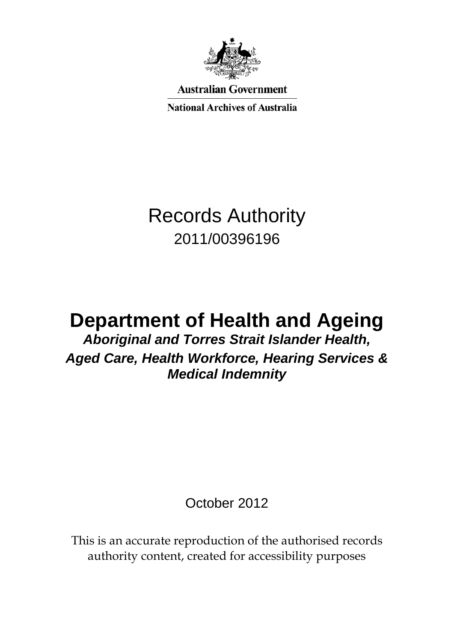

**Australian Government** 

**National Archives of Australia** 

# Records Authority 2011/00396196

# **Department of Health and Ageing**

*Aboriginal and Torres Strait Islander Health, Aged Care, Health Workforce, Hearing Services & Medical Indemnity*

October 2012

This is an accurate reproduction of the authorised records authority content, created for accessibility purposes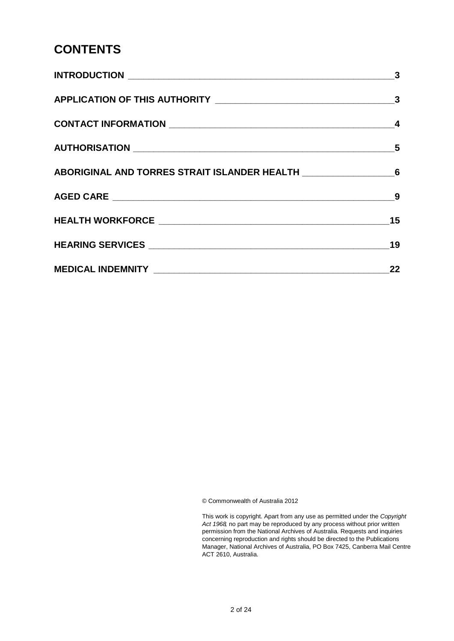#### **CONTENTS**

| 22 |
|----|

© Commonwealth of Australia 2012

This work is copyright. Apart from any use as permitted under the *Copyright Act 1968,* no part may be reproduced by any process without prior written permission from the National Archives of Australia. Requests and inquiries concerning reproduction and rights should be directed to the Publications Manager, National Archives of Australia, PO Box 7425, Canberra Mail Centre ACT 2610, Australia.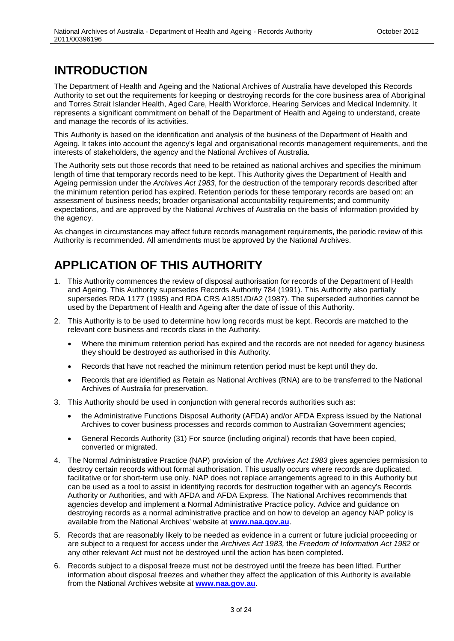# <span id="page-2-0"></span>**INTRODUCTION**

The Department of Health and Ageing and the National Archives of Australia have developed this Records Authority to set out the requirements for keeping or destroying records for the core business area of Aboriginal and Torres Strait Islander Health, Aged Care, Health Workforce, Hearing Services and Medical Indemnity. It represents a significant commitment on behalf of the Department of Health and Ageing to understand, create and manage the records of its activities.

This Authority is based on the identification and analysis of the business of the Department of Health and Ageing. It takes into account the agency's legal and organisational records management requirements, and the interests of stakeholders, the agency and the National Archives of Australia.

The Authority sets out those records that need to be retained as national archives and specifies the minimum length of time that temporary records need to be kept. This Authority gives the Department of Health and Ageing permission under the *Archives Act 1983*, for the destruction of the temporary records described after the minimum retention period has expired. Retention periods for these temporary records are based on: an assessment of business needs; broader organisational accountability requirements; and community expectations, and are approved by the National Archives of Australia on the basis of information provided by the agency.

As changes in circumstances may affect future records management requirements, the periodic review of this Authority is recommended. All amendments must be approved by the National Archives.

# <span id="page-2-1"></span>**APPLICATION OF THIS AUTHORITY**

- 1. This Authority commences the review of disposal authorisation for records of the Department of Health and Ageing. This Authority supersedes Records Authority 784 (1991). This Authority also partially supersedes RDA 1177 (1995) and RDA CRS A1851/D/A2 (1987). The superseded authorities cannot be used by the Department of Health and Ageing after the date of issue of this Authority.
- 2. This Authority is to be used to determine how long records must be kept. Records are matched to the relevant core business and records class in the Authority.
	- Where the minimum retention period has expired and the records are not needed for agency business they should be destroyed as authorised in this Authority.
	- Records that have not reached the minimum retention period must be kept until they do.
	- Records that are identified as Retain as National Archives (RNA) are to be transferred to the National Archives of Australia for preservation.
- 3. This Authority should be used in conjunction with general records authorities such as:
	- the Administrative Functions Disposal Authority (AFDA) and/or AFDA Express issued by the National Archives to cover business processes and records common to Australian Government agencies;
	- General Records Authority (31) For source (including original) records that have been copied, converted or migrated.
- 4. The Normal Administrative Practice (NAP) provision of the *Archives Act 1983* gives agencies permission to destroy certain records without formal authorisation. This usually occurs where records are duplicated, facilitative or for short-term use only. NAP does not replace arrangements agreed to in this Authority but can be used as a tool to assist in identifying records for destruction together with an agency's Records Authority or Authorities, and with AFDA and AFDA Express. The National Archives recommends that agencies develop and implement a Normal Administrative Practice policy. Advice and guidance on destroying records as a normal administrative practice and on how to develop an agency NAP policy is available from the National Archives' website at **[www.naa.gov.au](http://www.naa.gov.au/)**.
- 5. Records that are reasonably likely to be needed as evidence in a current or future judicial proceeding or are subject to a request for access under the *Archives Act 1983,* the *Freedom of Information Act 1982* or any other relevant Act must not be destroyed until the action has been completed.
- 6. Records subject to a disposal freeze must not be destroyed until the freeze has been lifted. Further information about disposal freezes and whether they affect the application of this Authority is available from the National Archives website at **[www.naa.gov.au](http://www.naa.gov.au/)**.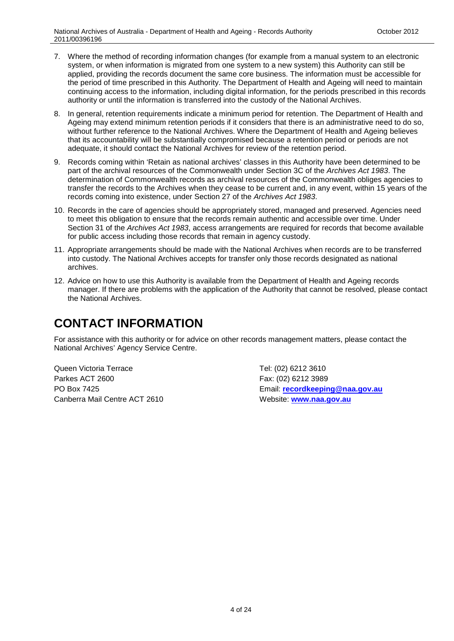- 7. Where the method of recording information changes (for example from a manual system to an electronic system, or when information is migrated from one system to a new system) this Authority can still be applied, providing the records document the same core business. The information must be accessible for the period of time prescribed in this Authority. The Department of Health and Ageing will need to maintain continuing access to the information, including digital information, for the periods prescribed in this records authority or until the information is transferred into the custody of the National Archives.
- 8. In general, retention requirements indicate a minimum period for retention. The Department of Health and Ageing may extend minimum retention periods if it considers that there is an administrative need to do so, without further reference to the National Archives. Where the Department of Health and Ageing believes that its accountability will be substantially compromised because a retention period or periods are not adequate, it should contact the National Archives for review of the retention period.
- 9. Records coming within 'Retain as national archives' classes in this Authority have been determined to be part of the archival resources of the Commonwealth under Section 3C of the *Archives Act 1983*. The determination of Commonwealth records as archival resources of the Commonwealth obliges agencies to transfer the records to the Archives when they cease to be current and, in any event, within 15 years of the records coming into existence, under Section 27 of the *Archives Act 1983*.
- 10. Records in the care of agencies should be appropriately stored, managed and preserved. Agencies need to meet this obligation to ensure that the records remain authentic and accessible over time. Under Section 31 of the *Archives Act 1983*, access arrangements are required for records that become available for public access including those records that remain in agency custody.
- 11. Appropriate arrangements should be made with the National Archives when records are to be transferred into custody. The National Archives accepts for transfer only those records designated as national archives.
- 12. Advice on how to use this Authority is available from the Department of Health and Ageing records manager. If there are problems with the application of the Authority that cannot be resolved, please contact the National Archives.

## <span id="page-3-0"></span>**CONTACT INFORMATION**

For assistance with this authority or for advice on other records management matters, please contact the National Archives' Agency Service Centre.

Queen Victoria Terrace Tel: (02) 6212 3610 Parkes ACT 2600 Fax: (02) 6212 3989 Canberra Mail Centre ACT 2610 Website: **[www.naa.gov.au](http://www.naa.gov.au/)**

PO Box 7425 Email: **[recordkeeping@naa.gov.au](mailto:recordkeeping@naa.gov.au)**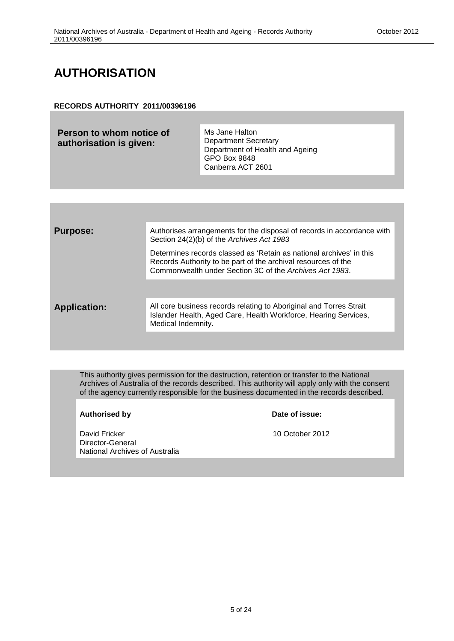# <span id="page-4-0"></span>**AUTHORISATION**

#### **RECORDS AUTHORITY 2011/00396196**

| Person to whom notice of<br>authorisation is given: | Ms Jane Halton<br><b>Department Secretary</b><br>Department of Health and Ageing<br>GPO Box 9848<br>Canberra ACT 2601 |
|-----------------------------------------------------|-----------------------------------------------------------------------------------------------------------------------|
|-----------------------------------------------------|-----------------------------------------------------------------------------------------------------------------------|

| <b>Purpose:</b>     | Authorises arrangements for the disposal of records in accordance with<br>Section 24(2)(b) of the Archives Act 1983                                                                             |
|---------------------|-------------------------------------------------------------------------------------------------------------------------------------------------------------------------------------------------|
|                     | Determines records classed as 'Retain as national archives' in this<br>Records Authority to be part of the archival resources of the<br>Commonwealth under Section 3C of the Archives Act 1983. |
|                     |                                                                                                                                                                                                 |
| <b>Application:</b> | All core business records relating to Aboriginal and Torres Strait<br>Islander Health, Aged Care, Health Workforce, Hearing Services,<br>Medical Indemnity.                                     |
|                     |                                                                                                                                                                                                 |

This authority gives permission for the destruction, retention or transfer to the National Archives of Australia of the records described. This authority will apply only with the consent of the agency currently responsible for the business documented in the records described.

Authorised by **Date of issue:** 

David Fricker 2012 Director-General National Archives of Australia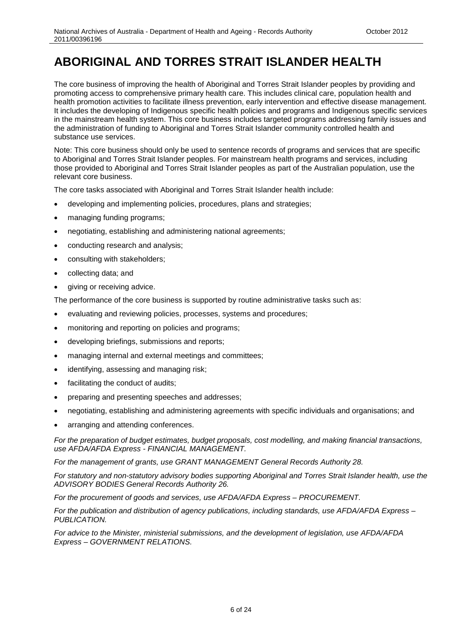## <span id="page-5-0"></span>**ABORIGINAL AND TORRES STRAIT ISLANDER HEALTH**

The core business of improving the health of Aboriginal and Torres Strait Islander peoples by providing and promoting access to comprehensive primary health care. This includes clinical care, population health and health promotion activities to facilitate illness prevention, early intervention and effective disease management. It includes the developing of Indigenous specific health policies and programs and Indigenous specific services in the mainstream health system. This core business includes targeted programs addressing family issues and the administration of funding to Aboriginal and Torres Strait Islander community controlled health and substance use services.

Note: This core business should only be used to sentence records of programs and services that are specific to Aboriginal and Torres Strait Islander peoples. For mainstream health programs and services, including those provided to Aboriginal and Torres Strait Islander peoples as part of the Australian population, use the relevant core business.

The core tasks associated with Aboriginal and Torres Strait Islander health include:

- developing and implementing policies, procedures, plans and strategies;
- managing funding programs;
- negotiating, establishing and administering national agreements;
- conducting research and analysis;
- consulting with stakeholders;
- collecting data; and
- giving or receiving advice.

The performance of the core business is supported by routine administrative tasks such as:

- evaluating and reviewing policies, processes, systems and procedures;
- monitoring and reporting on policies and programs;
- developing briefings, submissions and reports;
- managing internal and external meetings and committees;
- identifying, assessing and managing risk;
- facilitating the conduct of audits;
- preparing and presenting speeches and addresses;
- negotiating, establishing and administering agreements with specific individuals and organisations; and
- arranging and attending conferences.

*For the preparation of budget estimates, budget proposals, cost modelling, and making financial transactions, use AFDA/AFDA Express - FINANCIAL MANAGEMENT.*

*For the management of grants, use GRANT MANAGEMENT General Records Authority 28.* 

*For statutory and non-statutory advisory bodies supporting Aboriginal and Torres Strait Islander health, use the ADVISORY BODIES General Records Authority 26.*

*For the procurement of goods and services, use AFDA/AFDA Express – PROCUREMENT.* 

*For the publication and distribution of agency publications, including standards, use AFDA/AFDA Express – PUBLICATION.*

*For advice to the Minister, ministerial submissions, and the development of legislation, use AFDA/AFDA Express – GOVERNMENT RELATIONS.*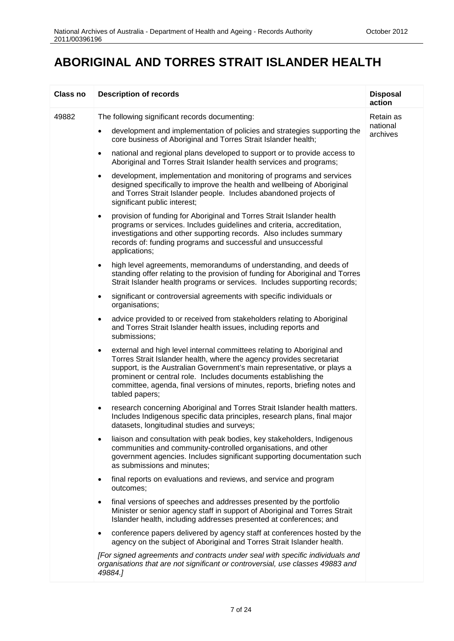#### **ABORIGINAL AND TORRES STRAIT ISLANDER HEALTH**

| <b>Class no</b> | <b>Description of records</b>                                                                                                                                                                                                                                                                                                                                                                           | <b>Disposal</b><br>action |
|-----------------|---------------------------------------------------------------------------------------------------------------------------------------------------------------------------------------------------------------------------------------------------------------------------------------------------------------------------------------------------------------------------------------------------------|---------------------------|
| 49882           | The following significant records documenting:                                                                                                                                                                                                                                                                                                                                                          | Retain as                 |
|                 | development and implementation of policies and strategies supporting the<br>$\bullet$<br>core business of Aboriginal and Torres Strait Islander health;                                                                                                                                                                                                                                                 | national<br>archives      |
|                 | national and regional plans developed to support or to provide access to<br>$\bullet$<br>Aboriginal and Torres Strait Islander health services and programs;                                                                                                                                                                                                                                            |                           |
|                 | development, implementation and monitoring of programs and services<br>$\bullet$<br>designed specifically to improve the health and wellbeing of Aboriginal<br>and Torres Strait Islander people. Includes abandoned projects of<br>significant public interest;                                                                                                                                        |                           |
|                 | provision of funding for Aboriginal and Torres Strait Islander health<br>$\bullet$<br>programs or services. Includes guidelines and criteria, accreditation,<br>investigations and other supporting records. Also includes summary<br>records of: funding programs and successful and unsuccessful<br>applications;                                                                                     |                           |
|                 | high level agreements, memorandums of understanding, and deeds of<br>$\bullet$<br>standing offer relating to the provision of funding for Aboriginal and Torres<br>Strait Islander health programs or services. Includes supporting records;                                                                                                                                                            |                           |
|                 | significant or controversial agreements with specific individuals or<br>$\bullet$<br>organisations;                                                                                                                                                                                                                                                                                                     |                           |
|                 | advice provided to or received from stakeholders relating to Aboriginal<br>$\bullet$<br>and Torres Strait Islander health issues, including reports and<br>submissions;                                                                                                                                                                                                                                 |                           |
|                 | external and high level internal committees relating to Aboriginal and<br>$\bullet$<br>Torres Strait Islander health, where the agency provides secretariat<br>support, is the Australian Government's main representative, or plays a<br>prominent or central role. Includes documents establishing the<br>committee, agenda, final versions of minutes, reports, briefing notes and<br>tabled papers; |                           |
|                 | research concerning Aboriginal and Torres Strait Islander health matters.<br>Includes Indigenous specific data principles, research plans, final major<br>datasets, longitudinal studies and surveys;                                                                                                                                                                                                   |                           |
|                 | liaison and consultation with peak bodies, key stakeholders, Indigenous<br>communities and community-controlled organisations, and other<br>government agencies. Includes significant supporting documentation such<br>as submissions and minutes;                                                                                                                                                      |                           |
|                 | final reports on evaluations and reviews, and service and program<br>$\bullet$<br>outcomes;                                                                                                                                                                                                                                                                                                             |                           |
|                 | final versions of speeches and addresses presented by the portfolio<br>$\bullet$<br>Minister or senior agency staff in support of Aboriginal and Torres Strait<br>Islander health, including addresses presented at conferences; and                                                                                                                                                                    |                           |
|                 | conference papers delivered by agency staff at conferences hosted by the<br>agency on the subject of Aboriginal and Torres Strait Islander health.                                                                                                                                                                                                                                                      |                           |
|                 | [For signed agreements and contracts under seal with specific individuals and<br>organisations that are not significant or controversial, use classes 49883 and<br>49884.]                                                                                                                                                                                                                              |                           |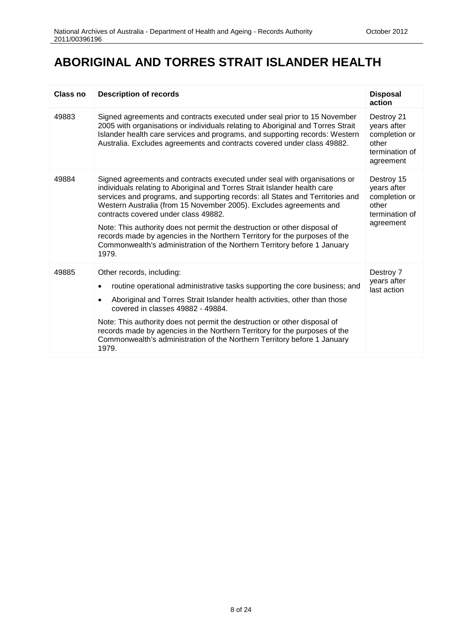## **ABORIGINAL AND TORRES STRAIT ISLANDER HEALTH**

| Class no | <b>Description of records</b>                                                                                                                                                                                                                                                                                                                                                                                                                                                                                                                                                                         | <b>Disposal</b><br>action                                                          |
|----------|-------------------------------------------------------------------------------------------------------------------------------------------------------------------------------------------------------------------------------------------------------------------------------------------------------------------------------------------------------------------------------------------------------------------------------------------------------------------------------------------------------------------------------------------------------------------------------------------------------|------------------------------------------------------------------------------------|
| 49883    | Signed agreements and contracts executed under seal prior to 15 November<br>2005 with organisations or individuals relating to Aboriginal and Torres Strait<br>Islander health care services and programs, and supporting records: Western<br>Australia. Excludes agreements and contracts covered under class 49882.                                                                                                                                                                                                                                                                                 | Destroy 21<br>years after<br>completion or<br>other<br>termination of<br>agreement |
| 49884    | Signed agreements and contracts executed under seal with organisations or<br>individuals relating to Aboriginal and Torres Strait Islander health care<br>services and programs, and supporting records: all States and Territories and<br>Western Australia (from 15 November 2005). Excludes agreements and<br>contracts covered under class 49882.<br>Note: This authority does not permit the destruction or other disposal of<br>records made by agencies in the Northern Territory for the purposes of the<br>Commonwealth's administration of the Northern Territory before 1 January<br>1979. | Destroy 15<br>years after<br>completion or<br>other<br>termination of<br>agreement |
| 49885    | Other records, including:<br>routine operational administrative tasks supporting the core business; and<br>Aboriginal and Torres Strait Islander health activities, other than those<br>covered in classes 49882 - 49884.<br>Note: This authority does not permit the destruction or other disposal of<br>records made by agencies in the Northern Territory for the purposes of the<br>Commonwealth's administration of the Northern Territory before 1 January<br>1979.                                                                                                                             | Destroy 7<br>years after<br>last action                                            |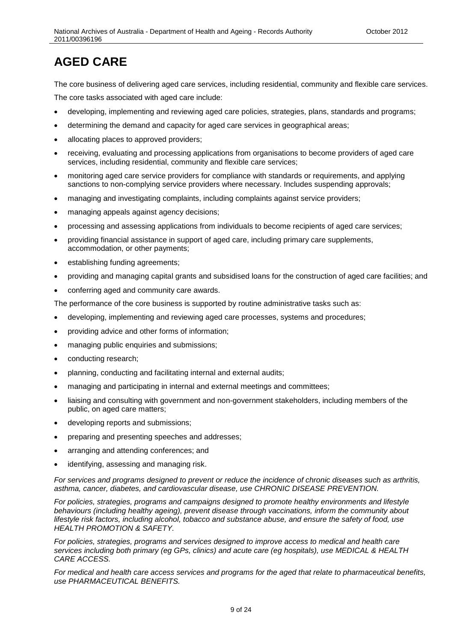<span id="page-8-0"></span>The core business of delivering aged care services, including residential, community and flexible care services. The core tasks associated with aged care include:

- developing, implementing and reviewing aged care policies, strategies, plans, standards and programs;
- determining the demand and capacity for aged care services in geographical areas;
- allocating places to approved providers;
- receiving, evaluating and processing applications from organisations to become providers of aged care services, including residential, community and flexible care services;
- monitoring aged care service providers for compliance with standards or requirements, and applying sanctions to non-complying service providers where necessary. Includes suspending approvals;
- managing and investigating complaints, including complaints against service providers;
- managing appeals against agency decisions;
- processing and assessing applications from individuals to become recipients of aged care services;
- providing financial assistance in support of aged care, including primary care supplements, accommodation, or other payments;
- establishing funding agreements;
- providing and managing capital grants and subsidised loans for the construction of aged care facilities; and
- conferring aged and community care awards.

The performance of the core business is supported by routine administrative tasks such as:

- developing, implementing and reviewing aged care processes, systems and procedures;
- providing advice and other forms of information;
- managing public enquiries and submissions;
- conducting research;
- planning, conducting and facilitating internal and external audits;
- managing and participating in internal and external meetings and committees;
- liaising and consulting with government and non-government stakeholders, including members of the public, on aged care matters;
- developing reports and submissions;
- preparing and presenting speeches and addresses;
- arranging and attending conferences; and
- identifying, assessing and managing risk.

*For services and programs designed to prevent or reduce the incidence of chronic diseases such as arthritis, asthma, cancer, diabetes, and cardiovascular disease, use CHRONIC DISEASE PREVENTION.*

*For policies, strategies, programs and campaigns designed to promote healthy environments and lifestyle behaviours (including healthy ageing), prevent disease through vaccinations, inform the community about lifestyle risk factors, including alcohol, tobacco and substance abuse, and ensure the safety of food, use HEALTH PROMOTION & SAFETY.*

*For policies, strategies, programs and services designed to improve access to medical and health care services including both primary (eg GPs, clinics) and acute care (eg hospitals), use MEDICAL & HEALTH CARE ACCESS.*

*For medical and health care access services and programs for the aged that relate to pharmaceutical benefits, use PHARMACEUTICAL BENEFITS.*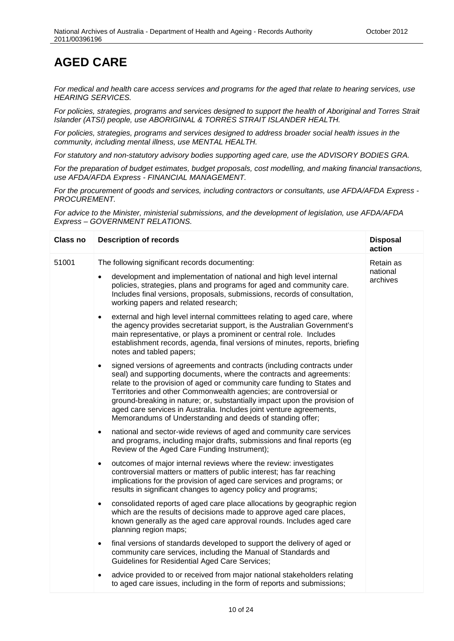*For medical and health care access services and programs for the aged that relate to hearing services, use HEARING SERVICES.*

*For policies, strategies, programs and services designed to support the health of Aboriginal and Torres Strait Islander (ATSI) people, use ABORIGINAL & TORRES STRAIT ISLANDER HEALTH.*

*For policies, strategies, programs and services designed to address broader social health issues in the community, including mental illness, use MENTAL HEALTH.*

*For statutory and non-statutory advisory bodies supporting aged care, use the ADVISORY BODIES GRA.*

*For the preparation of budget estimates, budget proposals, cost modelling, and making financial transactions, use AFDA/AFDA Express - FINANCIAL MANAGEMENT.*

*For the procurement of goods and services, including contractors or consultants, use AFDA/AFDA Express - PROCUREMENT.*

*For advice to the Minister, ministerial submissions, and the development of legislation, use AFDA/AFDA Express – GOVERNMENT RELATIONS.*

| <b>Class no</b> | <b>Description of records</b>                                                                                                                                                                                                                                                                                                                                                                                                                                                                                               | <b>Disposal</b><br>action |
|-----------------|-----------------------------------------------------------------------------------------------------------------------------------------------------------------------------------------------------------------------------------------------------------------------------------------------------------------------------------------------------------------------------------------------------------------------------------------------------------------------------------------------------------------------------|---------------------------|
| 51001           | The following significant records documenting:                                                                                                                                                                                                                                                                                                                                                                                                                                                                              | Retain as                 |
|                 | development and implementation of national and high level internal<br>policies, strategies, plans and programs for aged and community care.<br>Includes final versions, proposals, submissions, records of consultation,<br>working papers and related research;                                                                                                                                                                                                                                                            | national<br>archives      |
|                 | external and high level internal committees relating to aged care, where<br>$\bullet$<br>the agency provides secretariat support, is the Australian Government's<br>main representative, or plays a prominent or central role. Includes<br>establishment records, agenda, final versions of minutes, reports, briefing<br>notes and tabled papers;                                                                                                                                                                          |                           |
|                 | signed versions of agreements and contracts (including contracts under<br>$\bullet$<br>seal) and supporting documents, where the contracts and agreements:<br>relate to the provision of aged or community care funding to States and<br>Territories and other Commonwealth agencies; are controversial or<br>ground-breaking in nature; or, substantially impact upon the provision of<br>aged care services in Australia. Includes joint venture agreements,<br>Memorandums of Understanding and deeds of standing offer; |                           |
|                 | national and sector-wide reviews of aged and community care services<br>$\bullet$<br>and programs, including major drafts, submissions and final reports (eg<br>Review of the Aged Care Funding Instrument);                                                                                                                                                                                                                                                                                                                |                           |
|                 | outcomes of major internal reviews where the review: investigates<br>$\bullet$<br>controversial matters or matters of public interest; has far reaching<br>implications for the provision of aged care services and programs; or<br>results in significant changes to agency policy and programs;                                                                                                                                                                                                                           |                           |
|                 | consolidated reports of aged care place allocations by geographic region<br>$\bullet$<br>which are the results of decisions made to approve aged care places,<br>known generally as the aged care approval rounds. Includes aged care<br>planning region maps;                                                                                                                                                                                                                                                              |                           |
|                 | final versions of standards developed to support the delivery of aged or<br>$\bullet$<br>community care services, including the Manual of Standards and<br><b>Guidelines for Residential Aged Care Services;</b>                                                                                                                                                                                                                                                                                                            |                           |
|                 | advice provided to or received from major national stakeholders relating<br>to aged care issues, including in the form of reports and submissions;                                                                                                                                                                                                                                                                                                                                                                          |                           |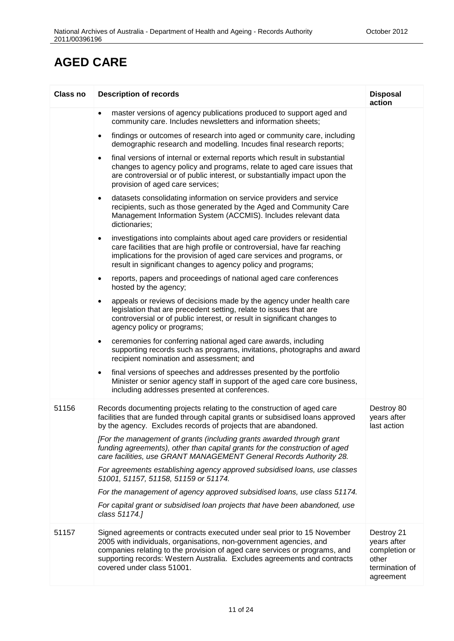| <b>Class no</b> | <b>Description of records</b>                                                                                                                                                                                                                                                                                                         | <b>Disposal</b><br>action                                                          |
|-----------------|---------------------------------------------------------------------------------------------------------------------------------------------------------------------------------------------------------------------------------------------------------------------------------------------------------------------------------------|------------------------------------------------------------------------------------|
|                 | master versions of agency publications produced to support aged and<br>$\bullet$<br>community care. Includes newsletters and information sheets;                                                                                                                                                                                      |                                                                                    |
|                 | findings or outcomes of research into aged or community care, including<br>$\bullet$<br>demographic research and modelling. Incudes final research reports;                                                                                                                                                                           |                                                                                    |
|                 | final versions of internal or external reports which result in substantial<br>$\bullet$<br>changes to agency policy and programs, relate to aged care issues that<br>are controversial or of public interest, or substantially impact upon the<br>provision of aged care services;                                                    |                                                                                    |
|                 | datasets consolidating information on service providers and service<br>$\bullet$<br>recipients, such as those generated by the Aged and Community Care<br>Management Information System (ACCMIS). Includes relevant data<br>dictionaries;                                                                                             |                                                                                    |
|                 | investigations into complaints about aged care providers or residential<br>$\bullet$<br>care facilities that are high profile or controversial, have far reaching<br>implications for the provision of aged care services and programs, or<br>result in significant changes to agency policy and programs;                            |                                                                                    |
|                 | reports, papers and proceedings of national aged care conferences<br>$\bullet$<br>hosted by the agency;                                                                                                                                                                                                                               |                                                                                    |
|                 | appeals or reviews of decisions made by the agency under health care<br>$\bullet$<br>legislation that are precedent setting, relate to issues that are<br>controversial or of public interest, or result in significant changes to<br>agency policy or programs;                                                                      |                                                                                    |
|                 | ceremonies for conferring national aged care awards, including<br>$\bullet$<br>supporting records such as programs, invitations, photographs and award<br>recipient nomination and assessment; and                                                                                                                                    |                                                                                    |
|                 | final versions of speeches and addresses presented by the portfolio<br>$\bullet$<br>Minister or senior agency staff in support of the aged care core business,<br>including addresses presented at conferences.                                                                                                                       |                                                                                    |
| 51156           | Records documenting projects relating to the construction of aged care<br>facilities that are funded through capital grants or subsidised loans approved<br>by the agency. Excludes records of projects that are abandoned.                                                                                                           | Destroy 80<br>years after<br>last action                                           |
|                 | [For the management of grants (including grants awarded through grant<br>funding agreements), other than capital grants for the construction of aged<br>care facilities, use GRANT MANAGEMENT General Records Authority 28.                                                                                                           |                                                                                    |
|                 | For agreements establishing agency approved subsidised loans, use classes<br>51001, 51157, 51158, 51159 or 51174.                                                                                                                                                                                                                     |                                                                                    |
|                 | For the management of agency approved subsidised loans, use class 51174.                                                                                                                                                                                                                                                              |                                                                                    |
|                 | For capital grant or subsidised loan projects that have been abandoned, use<br>class 51174.]                                                                                                                                                                                                                                          |                                                                                    |
| 51157           | Signed agreements or contracts executed under seal prior to 15 November<br>2005 with individuals, organisations, non-government agencies, and<br>companies relating to the provision of aged care services or programs, and<br>supporting records: Western Australia. Excludes agreements and contracts<br>covered under class 51001. | Destroy 21<br>years after<br>completion or<br>other<br>termination of<br>agreement |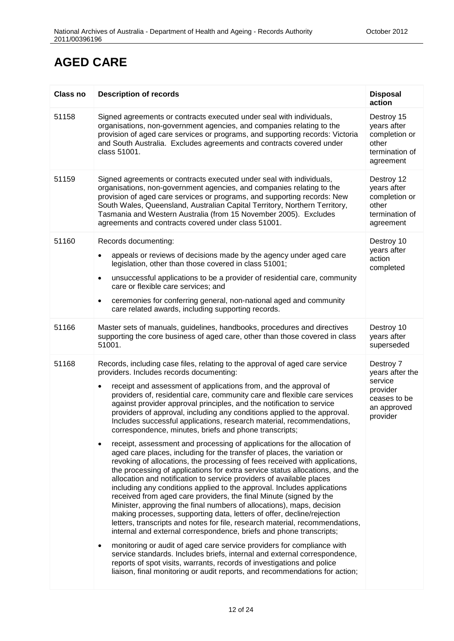| <b>Class no</b> | <b>Description of records</b>                                                                                                                                                                                                                                                                                                                                                                                                                                                                                                                                                                                                                                                                                                                                              | <b>Disposal</b><br>action                                                                      |
|-----------------|----------------------------------------------------------------------------------------------------------------------------------------------------------------------------------------------------------------------------------------------------------------------------------------------------------------------------------------------------------------------------------------------------------------------------------------------------------------------------------------------------------------------------------------------------------------------------------------------------------------------------------------------------------------------------------------------------------------------------------------------------------------------------|------------------------------------------------------------------------------------------------|
| 51158           | Signed agreements or contracts executed under seal with individuals,<br>organisations, non-government agencies, and companies relating to the<br>provision of aged care services or programs, and supporting records: Victoria<br>and South Australia. Excludes agreements and contracts covered under<br>class 51001.                                                                                                                                                                                                                                                                                                                                                                                                                                                     | Destroy 15<br>years after<br>completion or<br>other<br>termination of<br>agreement             |
| 51159           | Signed agreements or contracts executed under seal with individuals,<br>organisations, non-government agencies, and companies relating to the<br>provision of aged care services or programs, and supporting records: New<br>South Wales, Queensland, Australian Capital Territory, Northern Territory,<br>Tasmania and Western Australia (from 15 November 2005). Excludes<br>agreements and contracts covered under class 51001.                                                                                                                                                                                                                                                                                                                                         | Destroy 12<br>years after<br>completion or<br>other<br>termination of<br>agreement             |
| 51160           | Records documenting:<br>appeals or reviews of decisions made by the agency under aged care<br>legislation, other than those covered in class 51001;<br>unsuccessful applications to be a provider of residential care, community<br>٠<br>care or flexible care services; and<br>ceremonies for conferring general, non-national aged and community<br>$\bullet$<br>care related awards, including supporting records.                                                                                                                                                                                                                                                                                                                                                      | Destroy 10<br>years after<br>action<br>completed                                               |
| 51166           | Master sets of manuals, guidelines, handbooks, procedures and directives<br>supporting the core business of aged care, other than those covered in class<br>51001.                                                                                                                                                                                                                                                                                                                                                                                                                                                                                                                                                                                                         | Destroy 10<br>years after<br>superseded                                                        |
| 51168           | Records, including case files, relating to the approval of aged care service<br>providers. Includes records documenting:<br>receipt and assessment of applications from, and the approval of<br>providers of, residential care, community care and flexible care services<br>against provider approval principles, and the notification to service<br>providers of approval, including any conditions applied to the approval.<br>Includes successful applications, research material, recommendations,<br>correspondence, minutes, briefs and phone transcripts;<br>receipt, assessment and processing of applications for the allocation of<br>٠                                                                                                                         | Destroy 7<br>years after the<br>service<br>provider<br>ceases to be<br>an approved<br>provider |
|                 | aged care places, including for the transfer of places, the variation or<br>revoking of allocations, the processing of fees received with applications,<br>the processing of applications for extra service status allocations, and the<br>allocation and notification to service providers of available places<br>including any conditions applied to the approval. Includes applications<br>received from aged care providers, the final Minute (signed by the<br>Minister, approving the final numbers of allocations), maps, decision<br>making processes, supporting data, letters of offer, decline/rejection<br>letters, transcripts and notes for file, research material, recommendations,<br>internal and external correspondence, briefs and phone transcripts; |                                                                                                |
|                 | monitoring or audit of aged care service providers for compliance with<br>٠<br>service standards. Includes briefs, internal and external correspondence,<br>reports of spot visits, warrants, records of investigations and police<br>liaison, final monitoring or audit reports, and recommendations for action;                                                                                                                                                                                                                                                                                                                                                                                                                                                          |                                                                                                |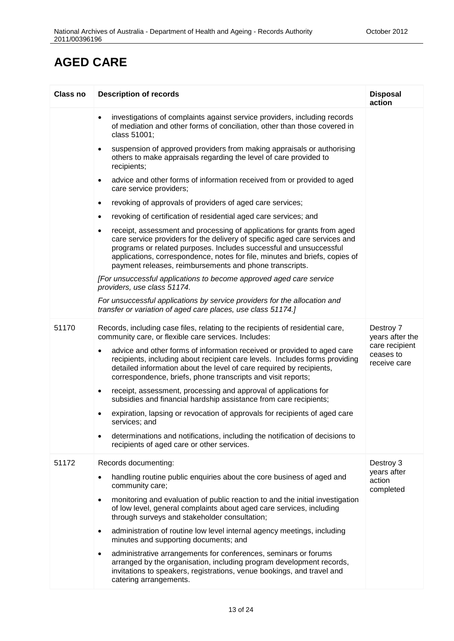| Class no | <b>Description of records</b>                                                                                                                                                                                                                                                                                                                                                      | <b>Disposal</b><br>action                   |
|----------|------------------------------------------------------------------------------------------------------------------------------------------------------------------------------------------------------------------------------------------------------------------------------------------------------------------------------------------------------------------------------------|---------------------------------------------|
|          | investigations of complaints against service providers, including records<br>$\bullet$<br>of mediation and other forms of conciliation, other than those covered in<br>class 51001;                                                                                                                                                                                                |                                             |
|          | suspension of approved providers from making appraisals or authorising<br>$\bullet$<br>others to make appraisals regarding the level of care provided to<br>recipients;                                                                                                                                                                                                            |                                             |
|          | advice and other forms of information received from or provided to aged<br>$\bullet$<br>care service providers;                                                                                                                                                                                                                                                                    |                                             |
|          | revoking of approvals of providers of aged care services;<br>$\bullet$                                                                                                                                                                                                                                                                                                             |                                             |
|          | revoking of certification of residential aged care services; and<br>$\bullet$                                                                                                                                                                                                                                                                                                      |                                             |
|          | receipt, assessment and processing of applications for grants from aged<br>$\bullet$<br>care service providers for the delivery of specific aged care services and<br>programs or related purposes. Includes successful and unsuccessful<br>applications, correspondence, notes for file, minutes and briefs, copies of<br>payment releases, reimbursements and phone transcripts. |                                             |
|          | [For unsuccessful applications to become approved aged care service<br>providers, use class 51174.                                                                                                                                                                                                                                                                                 |                                             |
|          | For unsuccessful applications by service providers for the allocation and<br>transfer or variation of aged care places, use class 51174.]                                                                                                                                                                                                                                          |                                             |
| 51170    | Records, including case files, relating to the recipients of residential care,<br>community care, or flexible care services. Includes:                                                                                                                                                                                                                                             | Destroy 7<br>years after the                |
|          | advice and other forms of information received or provided to aged care<br>$\bullet$<br>recipients, including about recipient care levels. Includes forms providing<br>detailed information about the level of care required by recipients,<br>correspondence, briefs, phone transcripts and visit reports;                                                                        | care recipient<br>ceases to<br>receive care |
|          | receipt, assessment, processing and approval of applications for<br>$\bullet$<br>subsidies and financial hardship assistance from care recipients;                                                                                                                                                                                                                                 |                                             |
|          | expiration, lapsing or revocation of approvals for recipients of aged care<br>٠<br>services; and                                                                                                                                                                                                                                                                                   |                                             |
|          | determinations and notifications, including the notification of decisions to<br>٠<br>recipients of aged care or other services.                                                                                                                                                                                                                                                    |                                             |
| 51172    | Records documenting:                                                                                                                                                                                                                                                                                                                                                               | Destroy 3                                   |
|          | handling routine public enquiries about the core business of aged and<br>$\bullet$<br>community care;                                                                                                                                                                                                                                                                              | years after<br>action<br>completed          |
|          | monitoring and evaluation of public reaction to and the initial investigation<br>$\bullet$<br>of low level, general complaints about aged care services, including<br>through surveys and stakeholder consultation;                                                                                                                                                                |                                             |
|          | administration of routine low level internal agency meetings, including<br>$\bullet$<br>minutes and supporting documents; and                                                                                                                                                                                                                                                      |                                             |
|          | administrative arrangements for conferences, seminars or forums<br>٠<br>arranged by the organisation, including program development records,<br>invitations to speakers, registrations, venue bookings, and travel and<br>catering arrangements.                                                                                                                                   |                                             |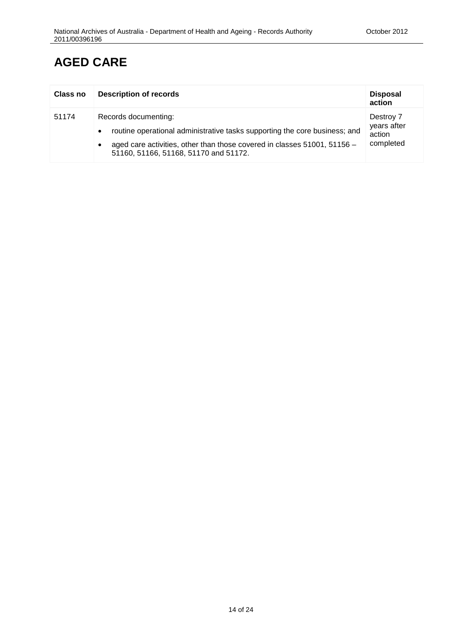| <b>Class no</b> | <b>Description of records</b>                                                                                                                                                                                           | <b>Disposal</b><br>action                       |
|-----------------|-------------------------------------------------------------------------------------------------------------------------------------------------------------------------------------------------------------------------|-------------------------------------------------|
| 51174           | Records documenting:<br>routine operational administrative tasks supporting the core business; and<br>aged care activities, other than those covered in classes 51001, 51156 -<br>51160, 51166, 51168, 51170 and 51172. | Destroy 7<br>years after<br>action<br>completed |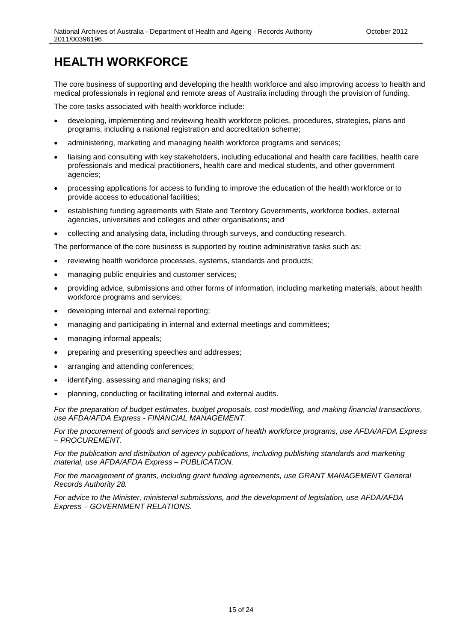<span id="page-14-0"></span>The core business of supporting and developing the health workforce and also improving access to health and medical professionals in regional and remote areas of Australia including through the provision of funding.

The core tasks associated with health workforce include:

- developing, implementing and reviewing health workforce policies, procedures, strategies, plans and programs, including a national registration and accreditation scheme;
- administering, marketing and managing health workforce programs and services;
- liaising and consulting with key stakeholders, including educational and health care facilities, health care professionals and medical practitioners, health care and medical students, and other government agencies;
- processing applications for access to funding to improve the education of the health workforce or to provide access to educational facilities;
- establishing funding agreements with State and Territory Governments, workforce bodies, external agencies, universities and colleges and other organisations; and
- collecting and analysing data, including through surveys, and conducting research.

The performance of the core business is supported by routine administrative tasks such as:

- reviewing health workforce processes, systems, standards and products;
- managing public enquiries and customer services;
- providing advice, submissions and other forms of information, including marketing materials, about health workforce programs and services;
- developing internal and external reporting;
- managing and participating in internal and external meetings and committees;
- managing informal appeals;
- preparing and presenting speeches and addresses;
- arranging and attending conferences;
- identifying, assessing and managing risks; and
- planning, conducting or facilitating internal and external audits.

*For the preparation of budget estimates, budget proposals, cost modelling, and making financial transactions, use AFDA/AFDA Express - FINANCIAL MANAGEMENT.*

*For the procurement of goods and services in support of health workforce programs, use AFDA/AFDA Express – PROCUREMENT.* 

*For the publication and distribution of agency publications, including publishing standards and marketing material, use AFDA/AFDA Express – PUBLICATION.* 

*For the management of grants, including grant funding agreements, use GRANT MANAGEMENT General Records Authority 28.* 

*For advice to the Minister, ministerial submissions, and the development of legislation, use AFDA/AFDA Express – GOVERNMENT RELATIONS.*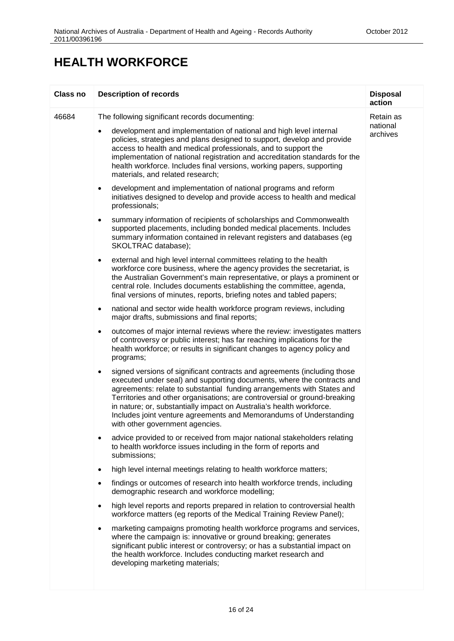| Class no | <b>Description of records</b>                                                                                                                                                                                                                                                                                                                                                                                                                                                                   | <b>Disposal</b><br>action |
|----------|-------------------------------------------------------------------------------------------------------------------------------------------------------------------------------------------------------------------------------------------------------------------------------------------------------------------------------------------------------------------------------------------------------------------------------------------------------------------------------------------------|---------------------------|
| 46684    | The following significant records documenting:                                                                                                                                                                                                                                                                                                                                                                                                                                                  | Retain as                 |
|          | development and implementation of national and high level internal<br>٠<br>policies, strategies and plans designed to support, develop and provide<br>access to health and medical professionals, and to support the<br>implementation of national registration and accreditation standards for the<br>health workforce. Includes final versions, working papers, supporting<br>materials, and related research;                                                                                | national<br>archives      |
|          | development and implementation of national programs and reform<br>$\bullet$<br>initiatives designed to develop and provide access to health and medical<br>professionals;                                                                                                                                                                                                                                                                                                                       |                           |
|          | summary information of recipients of scholarships and Commonwealth<br>٠<br>supported placements, including bonded medical placements. Includes<br>summary information contained in relevant registers and databases (eg<br>SKOLTRAC database);                                                                                                                                                                                                                                                  |                           |
|          | external and high level internal committees relating to the health<br>$\bullet$<br>workforce core business, where the agency provides the secretariat, is<br>the Australian Government's main representative, or plays a prominent or<br>central role. Includes documents establishing the committee, agenda,<br>final versions of minutes, reports, briefing notes and tabled papers;                                                                                                          |                           |
|          | national and sector wide health workforce program reviews, including<br>$\bullet$<br>major drafts, submissions and final reports;                                                                                                                                                                                                                                                                                                                                                               |                           |
|          | outcomes of major internal reviews where the review: investigates matters<br>٠<br>of controversy or public interest; has far reaching implications for the<br>health workforce; or results in significant changes to agency policy and<br>programs;                                                                                                                                                                                                                                             |                           |
|          | signed versions of significant contracts and agreements (including those<br>٠<br>executed under seal) and supporting documents, where the contracts and<br>agreements: relate to substantial funding arrangements with States and<br>Territories and other organisations; are controversial or ground-breaking<br>in nature; or, substantially impact on Australia's health workforce.<br>Includes joint venture agreements and Memorandums of Understanding<br>with other government agencies. |                           |
|          | advice provided to or received from major national stakeholders relating<br>to health workforce issues including in the form of reports and<br>submissions;                                                                                                                                                                                                                                                                                                                                     |                           |
|          | high level internal meetings relating to health workforce matters;<br>$\bullet$                                                                                                                                                                                                                                                                                                                                                                                                                 |                           |
|          | findings or outcomes of research into health workforce trends, including<br>٠<br>demographic research and workforce modelling;                                                                                                                                                                                                                                                                                                                                                                  |                           |
|          | high level reports and reports prepared in relation to controversial health<br>$\bullet$<br>workforce matters (eg reports of the Medical Training Review Panel);                                                                                                                                                                                                                                                                                                                                |                           |
|          | marketing campaigns promoting health workforce programs and services,<br>٠<br>where the campaign is: innovative or ground breaking; generates<br>significant public interest or controversy; or has a substantial impact on<br>the health workforce. Includes conducting market research and<br>developing marketing materials;                                                                                                                                                                 |                           |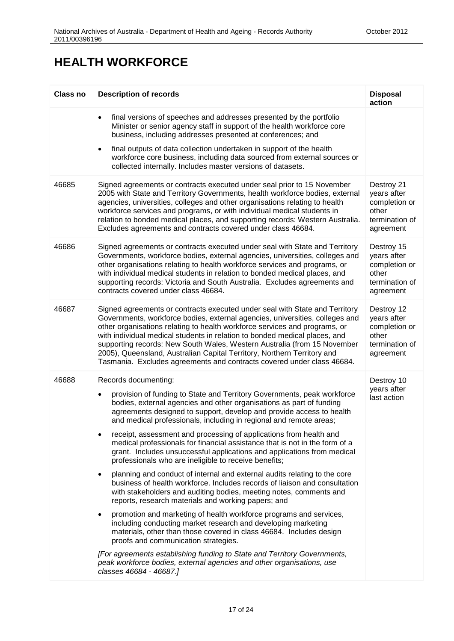| <b>Class no</b> | <b>Description of records</b>                                                                                                                                                                                                                                                                                                                                                                                                                                                                                                                                                                                                                                                                                                                                                                                                                                                                                                                                                                                                                                                                                                                                                                                                                                                                                                                                                            | <b>Disposal</b><br>action                                                          |
|-----------------|------------------------------------------------------------------------------------------------------------------------------------------------------------------------------------------------------------------------------------------------------------------------------------------------------------------------------------------------------------------------------------------------------------------------------------------------------------------------------------------------------------------------------------------------------------------------------------------------------------------------------------------------------------------------------------------------------------------------------------------------------------------------------------------------------------------------------------------------------------------------------------------------------------------------------------------------------------------------------------------------------------------------------------------------------------------------------------------------------------------------------------------------------------------------------------------------------------------------------------------------------------------------------------------------------------------------------------------------------------------------------------------|------------------------------------------------------------------------------------|
|                 | final versions of speeches and addresses presented by the portfolio<br>$\bullet$<br>Minister or senior agency staff in support of the health workforce core<br>business, including addresses presented at conferences; and<br>final outputs of data collection undertaken in support of the health<br>$\bullet$<br>workforce core business, including data sourced from external sources or<br>collected internally. Includes master versions of datasets.                                                                                                                                                                                                                                                                                                                                                                                                                                                                                                                                                                                                                                                                                                                                                                                                                                                                                                                               |                                                                                    |
| 46685           | Signed agreements or contracts executed under seal prior to 15 November<br>2005 with State and Territory Governments, health workforce bodies, external<br>agencies, universities, colleges and other organisations relating to health<br>workforce services and programs, or with individual medical students in<br>relation to bonded medical places, and supporting records: Western Australia.<br>Excludes agreements and contracts covered under class 46684.                                                                                                                                                                                                                                                                                                                                                                                                                                                                                                                                                                                                                                                                                                                                                                                                                                                                                                                       | Destroy 21<br>years after<br>completion or<br>other<br>termination of<br>agreement |
| 46686           | Signed agreements or contracts executed under seal with State and Territory<br>Governments, workforce bodies, external agencies, universities, colleges and<br>other organisations relating to health workforce services and programs, or<br>with individual medical students in relation to bonded medical places, and<br>supporting records: Victoria and South Australia. Excludes agreements and<br>contracts covered under class 46684.                                                                                                                                                                                                                                                                                                                                                                                                                                                                                                                                                                                                                                                                                                                                                                                                                                                                                                                                             | Destroy 15<br>years after<br>completion or<br>other<br>termination of<br>agreement |
| 46687           | Signed agreements or contracts executed under seal with State and Territory<br>Governments, workforce bodies, external agencies, universities, colleges and<br>other organisations relating to health workforce services and programs, or<br>with individual medical students in relation to bonded medical places, and<br>supporting records: New South Wales, Western Australia (from 15 November<br>2005), Queensland, Australian Capital Territory, Northern Territory and<br>Tasmania. Excludes agreements and contracts covered under class 46684.                                                                                                                                                                                                                                                                                                                                                                                                                                                                                                                                                                                                                                                                                                                                                                                                                                 | Destroy 12<br>years after<br>completion or<br>other<br>termination of<br>agreement |
| 46688           | Records documenting:<br>provision of funding to State and Territory Governments, peak workforce<br>$\bullet$<br>bodies, external agencies and other organisations as part of funding<br>agreements designed to support, develop and provide access to health<br>and medical professionals, including in regional and remote areas;<br>receipt, assessment and processing of applications from health and<br>٠<br>medical professionals for financial assistance that is not in the form of a<br>grant. Includes unsuccessful applications and applications from medical<br>professionals who are ineligible to receive benefits;<br>planning and conduct of internal and external audits relating to the core<br>$\bullet$<br>business of health workforce. Includes records of liaison and consultation<br>with stakeholders and auditing bodies, meeting notes, comments and<br>reports, research materials and working papers; and<br>promotion and marketing of health workforce programs and services,<br>$\bullet$<br>including conducting market research and developing marketing<br>materials, other than those covered in class 46684. Includes design<br>proofs and communication strategies.<br>[For agreements establishing funding to State and Territory Governments,<br>peak workforce bodies, external agencies and other organisations, use<br>classes 46684 - 46687.] | Destroy 10<br>years after<br>last action                                           |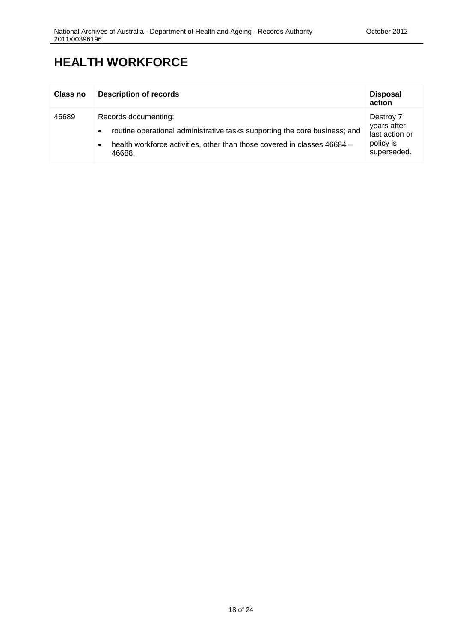| <b>Class no</b> | <b>Description of records</b>                                                                                                                                                                                      | <b>Disposal</b><br>action                                              |
|-----------------|--------------------------------------------------------------------------------------------------------------------------------------------------------------------------------------------------------------------|------------------------------------------------------------------------|
| 46689           | Records documenting:<br>routine operational administrative tasks supporting the core business; and<br>$\bullet$<br>health workforce activities, other than those covered in classes 46684 -<br>$\bullet$<br>46688. | Destroy 7<br>years after<br>last action or<br>policy is<br>superseded. |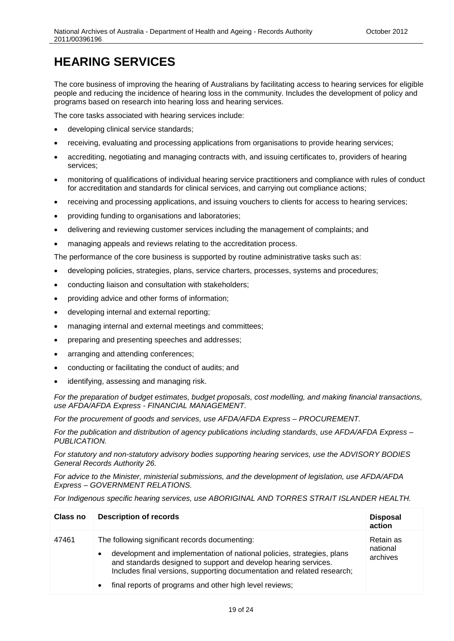# <span id="page-18-0"></span>**HEARING SERVICES**

The core business of improving the hearing of Australians by facilitating access to hearing services for eligible people and reducing the incidence of hearing loss in the community. Includes the development of policy and programs based on research into hearing loss and hearing services.

The core tasks associated with hearing services include:

- developing clinical service standards;
- receiving, evaluating and processing applications from organisations to provide hearing services;
- accrediting, negotiating and managing contracts with, and issuing certificates to, providers of hearing services;
- monitoring of qualifications of individual hearing service practitioners and compliance with rules of conduct for accreditation and standards for clinical services, and carrying out compliance actions;
- receiving and processing applications, and issuing vouchers to clients for access to hearing services;
- providing funding to organisations and laboratories;
- delivering and reviewing customer services including the management of complaints; and
- managing appeals and reviews relating to the accreditation process.

The performance of the core business is supported by routine administrative tasks such as:

- developing policies, strategies, plans, service charters, processes, systems and procedures;
- conducting liaison and consultation with stakeholders;
- providing advice and other forms of information;
- developing internal and external reporting;
- managing internal and external meetings and committees;
- preparing and presenting speeches and addresses;
- arranging and attending conferences;
- conducting or facilitating the conduct of audits; and
- identifying, assessing and managing risk.

*For the preparation of budget estimates, budget proposals, cost modelling, and making financial transactions, use AFDA/AFDA Express - FINANCIAL MANAGEMENT.*

*For the procurement of goods and services, use AFDA/AFDA Express – PROCUREMENT.* 

*For the publication and distribution of agency publications including standards, use AFDA/AFDA Express – PUBLICATION.* 

*For statutory and non-statutory advisory bodies supporting hearing services, use the ADVISORY BODIES General Records Authority 26.*

*For advice to the Minister, ministerial submissions, and the development of legislation, use AFDA/AFDA Express – GOVERNMENT RELATIONS.*

*For Indigenous specific hearing services, use ABORIGINAL AND TORRES STRAIT ISLANDER HEALTH.*

| Class no | <b>Description of records</b>                                                                                                                                                                                                                                                                                                                  | <b>Disposal</b><br>action         |
|----------|------------------------------------------------------------------------------------------------------------------------------------------------------------------------------------------------------------------------------------------------------------------------------------------------------------------------------------------------|-----------------------------------|
| 47461    | The following significant records documenting:<br>development and implementation of national policies, strategies, plans<br>$\bullet$<br>and standards designed to support and develop hearing services.<br>Includes final versions, supporting documentation and related research;<br>final reports of programs and other high level reviews; | Retain as<br>national<br>archives |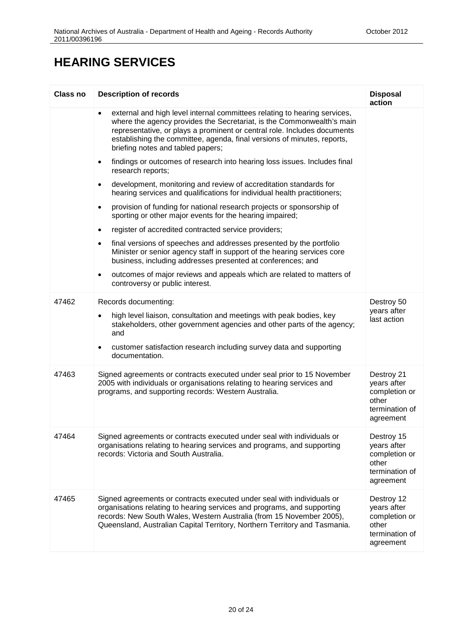## **HEARING SERVICES**

| <b>Class no</b> | <b>Description of records</b>                                                                                                                                                                                                                                                                                                                  | <b>Disposal</b><br>action                                                          |
|-----------------|------------------------------------------------------------------------------------------------------------------------------------------------------------------------------------------------------------------------------------------------------------------------------------------------------------------------------------------------|------------------------------------------------------------------------------------|
|                 | external and high level internal committees relating to hearing services,<br>where the agency provides the Secretariat, is the Commonwealth's main<br>representative, or plays a prominent or central role. Includes documents<br>establishing the committee, agenda, final versions of minutes, reports,<br>briefing notes and tabled papers; |                                                                                    |
|                 | findings or outcomes of research into hearing loss issues. Includes final<br>$\bullet$<br>research reports;                                                                                                                                                                                                                                    |                                                                                    |
|                 | development, monitoring and review of accreditation standards for<br>$\bullet$<br>hearing services and qualifications for individual health practitioners;                                                                                                                                                                                     |                                                                                    |
|                 | provision of funding for national research projects or sponsorship of<br>$\bullet$<br>sporting or other major events for the hearing impaired;                                                                                                                                                                                                 |                                                                                    |
|                 | register of accredited contracted service providers;<br>$\bullet$                                                                                                                                                                                                                                                                              |                                                                                    |
|                 | final versions of speeches and addresses presented by the portfolio<br>$\bullet$<br>Minister or senior agency staff in support of the hearing services core<br>business, including addresses presented at conferences; and                                                                                                                     |                                                                                    |
|                 | outcomes of major reviews and appeals which are related to matters of<br>$\bullet$<br>controversy or public interest.                                                                                                                                                                                                                          |                                                                                    |
| 47462           | Records documenting:                                                                                                                                                                                                                                                                                                                           | Destroy 50                                                                         |
|                 | high level liaison, consultation and meetings with peak bodies, key<br>$\bullet$<br>stakeholders, other government agencies and other parts of the agency;<br>and                                                                                                                                                                              | years after<br>last action                                                         |
|                 | customer satisfaction research including survey data and supporting<br>$\bullet$<br>documentation.                                                                                                                                                                                                                                             |                                                                                    |
| 47463           | Signed agreements or contracts executed under seal prior to 15 November<br>2005 with individuals or organisations relating to hearing services and<br>programs, and supporting records: Western Australia.                                                                                                                                     | Destroy 21<br>years after<br>completion or<br>other<br>termination of<br>agreement |
| 47464           | Signed agreements or contracts executed under seal with individuals or<br>organisations relating to hearing services and programs, and supporting<br>records: Victoria and South Australia.                                                                                                                                                    | Destroy 15<br>years after<br>completion or<br>other<br>termination of<br>agreement |
| 47465           | Signed agreements or contracts executed under seal with individuals or<br>organisations relating to hearing services and programs, and supporting<br>records: New South Wales, Western Australia (from 15 November 2005),<br>Queensland, Australian Capital Territory, Northern Territory and Tasmania.                                        | Destroy 12<br>years after<br>completion or<br>other<br>termination of<br>agreement |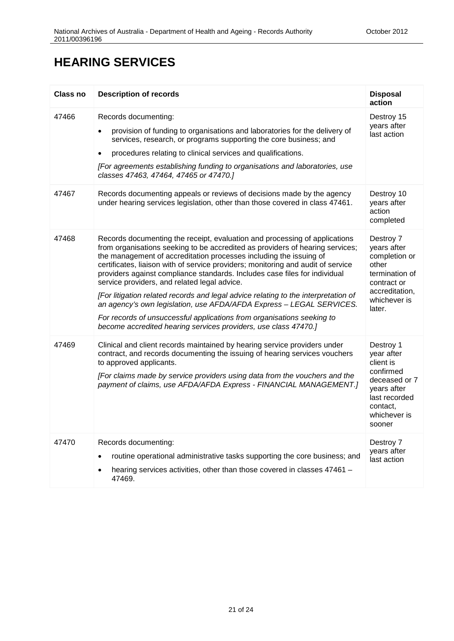#### **HEARING SERVICES**

| <b>Class no</b> | <b>Description of records</b>                                                                                                                                                                                                                                                                                                                                                                                                                                                                                                                                                                                                                                                                                                                                  | <b>Disposal</b><br>action                                                                                                                |
|-----------------|----------------------------------------------------------------------------------------------------------------------------------------------------------------------------------------------------------------------------------------------------------------------------------------------------------------------------------------------------------------------------------------------------------------------------------------------------------------------------------------------------------------------------------------------------------------------------------------------------------------------------------------------------------------------------------------------------------------------------------------------------------------|------------------------------------------------------------------------------------------------------------------------------------------|
| 47466           | Records documenting:<br>provision of funding to organisations and laboratories for the delivery of<br>services, research, or programs supporting the core business; and<br>procedures relating to clinical services and qualifications.<br>$\bullet$<br>[For agreements establishing funding to organisations and laboratories, use<br>classes 47463, 47464, 47465 or 47470.]                                                                                                                                                                                                                                                                                                                                                                                  | Destroy 15<br>years after<br>last action                                                                                                 |
| 47467           | Records documenting appeals or reviews of decisions made by the agency<br>under hearing services legislation, other than those covered in class 47461.                                                                                                                                                                                                                                                                                                                                                                                                                                                                                                                                                                                                         | Destroy 10<br>years after<br>action<br>completed                                                                                         |
| 47468           | Records documenting the receipt, evaluation and processing of applications<br>from organisations seeking to be accredited as providers of hearing services;<br>the management of accreditation processes including the issuing of<br>certificates, liaison with of service providers; monitoring and audit of service<br>providers against compliance standards. Includes case files for individual<br>service providers, and related legal advice.<br>[For litigation related records and legal advice relating to the interpretation of<br>an agency's own legislation, use AFDA/AFDA Express - LEGAL SERVICES.<br>For records of unsuccessful applications from organisations seeking to<br>become accredited hearing services providers, use class 47470.] | Destroy 7<br>years after<br>completion or<br>other<br>termination of<br>contract or<br>accreditation,<br>whichever is<br>later.          |
| 47469           | Clinical and client records maintained by hearing service providers under<br>contract, and records documenting the issuing of hearing services vouchers<br>to approved applicants.<br>[For claims made by service providers using data from the vouchers and the<br>payment of claims, use AFDA/AFDA Express - FINANCIAL MANAGEMENT.]                                                                                                                                                                                                                                                                                                                                                                                                                          | Destroy 1<br>year after<br>client is<br>confirmed<br>deceased or 7<br>years after<br>last recorded<br>contact,<br>whichever is<br>sooner |
| 47470           | Records documenting:<br>routine operational administrative tasks supporting the core business; and<br>hearing services activities, other than those covered in classes 47461 -<br>47469.                                                                                                                                                                                                                                                                                                                                                                                                                                                                                                                                                                       | Destroy 7<br>years after<br>last action                                                                                                  |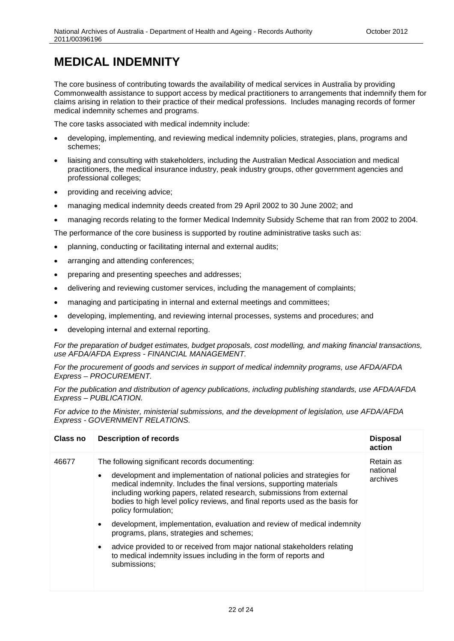# <span id="page-21-0"></span>**MEDICAL INDEMNITY**

The core business of contributing towards the availability of medical services in Australia by providing Commonwealth assistance to support access by medical practitioners to arrangements that indemnify them for claims arising in relation to their practice of their medical professions. Includes managing records of former medical indemnity schemes and programs.

The core tasks associated with medical indemnity include:

- developing, implementing, and reviewing medical indemnity policies, strategies, plans, programs and schemes;
- liaising and consulting with stakeholders, including the Australian Medical Association and medical practitioners, the medical insurance industry, peak industry groups, other government agencies and professional colleges;
- providing and receiving advice;
- managing medical indemnity deeds created from 29 April 2002 to 30 June 2002; and
- managing records relating to the former Medical Indemnity Subsidy Scheme that ran from 2002 to 2004.

The performance of the core business is supported by routine administrative tasks such as:

- planning, conducting or facilitating internal and external audits;
- arranging and attending conferences;
- preparing and presenting speeches and addresses;
- delivering and reviewing customer services, including the management of complaints;
- managing and participating in internal and external meetings and committees;
- developing, implementing, and reviewing internal processes, systems and procedures; and
- developing internal and external reporting.

*For the preparation of budget estimates, budget proposals, cost modelling, and making financial transactions, use AFDA/AFDA Express - FINANCIAL MANAGEMENT.*

*For the procurement of goods and services in support of medical indemnity programs, use AFDA/AFDA Express – PROCUREMENT.* 

*For the publication and distribution of agency publications, including publishing standards, use AFDA/AFDA Express – PUBLICATION.* 

*For advice to the Minister, ministerial submissions, and the development of legislation, use AFDA/AFDA Express - GOVERNMENT RELATIONS.*

| Class no | <b>Description of records</b>                                                                                                                                                                                                                                                                                                                                                                                                                                                                                                                                                                                                                                                                     | <b>Disposal</b><br>action         |
|----------|---------------------------------------------------------------------------------------------------------------------------------------------------------------------------------------------------------------------------------------------------------------------------------------------------------------------------------------------------------------------------------------------------------------------------------------------------------------------------------------------------------------------------------------------------------------------------------------------------------------------------------------------------------------------------------------------------|-----------------------------------|
| 46677    | The following significant records documenting:<br>development and implementation of national policies and strategies for<br>$\bullet$<br>medical indemnity. Includes the final versions, supporting materials<br>including working papers, related research, submissions from external<br>bodies to high level policy reviews, and final reports used as the basis for<br>policy formulation;<br>development, implementation, evaluation and review of medical indemnity<br>$\bullet$<br>programs, plans, strategies and schemes;<br>advice provided to or received from major national stakeholders relating<br>to medical indemnity issues including in the form of reports and<br>submissions; | Retain as<br>national<br>archives |
|          |                                                                                                                                                                                                                                                                                                                                                                                                                                                                                                                                                                                                                                                                                                   |                                   |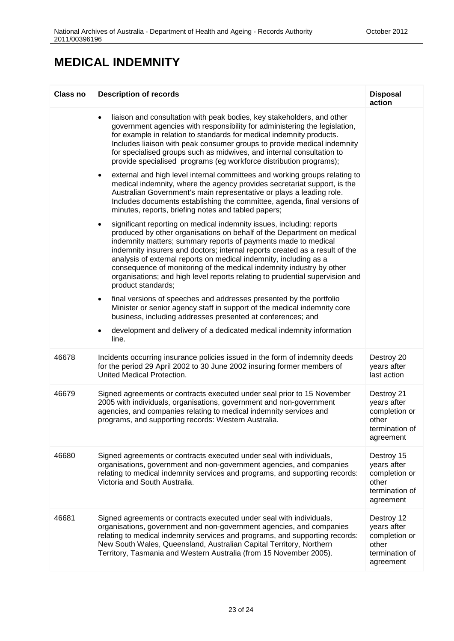#### **MEDICAL INDEMNITY**

| Class no | <b>Description of records</b>                                                                                                                                                                                                                                                                                                                                                                                                                                                                                                                                    | <b>Disposal</b><br>action                                                          |
|----------|------------------------------------------------------------------------------------------------------------------------------------------------------------------------------------------------------------------------------------------------------------------------------------------------------------------------------------------------------------------------------------------------------------------------------------------------------------------------------------------------------------------------------------------------------------------|------------------------------------------------------------------------------------|
|          | liaison and consultation with peak bodies, key stakeholders, and other<br>$\bullet$<br>government agencies with responsibility for administering the legislation,<br>for example in relation to standards for medical indemnity products.<br>Includes liaison with peak consumer groups to provide medical indemnity<br>for specialised groups such as midwives, and internal consultation to<br>provide specialised programs (eg workforce distribution programs);                                                                                              |                                                                                    |
|          | external and high level internal committees and working groups relating to<br>$\bullet$<br>medical indemnity, where the agency provides secretariat support, is the<br>Australian Government's main representative or plays a leading role.<br>Includes documents establishing the committee, agenda, final versions of<br>minutes, reports, briefing notes and tabled papers;                                                                                                                                                                                   |                                                                                    |
|          | significant reporting on medical indemnity issues, including: reports<br>$\bullet$<br>produced by other organisations on behalf of the Department on medical<br>indemnity matters; summary reports of payments made to medical<br>indemnity insurers and doctors; internal reports created as a result of the<br>analysis of external reports on medical indemnity, including as a<br>consequence of monitoring of the medical indemnity industry by other<br>organisations; and high level reports relating to prudential supervision and<br>product standards; |                                                                                    |
|          | final versions of speeches and addresses presented by the portfolio<br>$\bullet$<br>Minister or senior agency staff in support of the medical indemnity core<br>business, including addresses presented at conferences; and                                                                                                                                                                                                                                                                                                                                      |                                                                                    |
|          | development and delivery of a dedicated medical indemnity information<br>$\bullet$<br>line.                                                                                                                                                                                                                                                                                                                                                                                                                                                                      |                                                                                    |
| 46678    | Incidents occurring insurance policies issued in the form of indemnity deeds<br>for the period 29 April 2002 to 30 June 2002 insuring former members of<br>United Medical Protection.                                                                                                                                                                                                                                                                                                                                                                            | Destroy 20<br>years after<br>last action                                           |
| 46679    | Signed agreements or contracts executed under seal prior to 15 November<br>2005 with individuals, organisations, government and non-government<br>agencies, and companies relating to medical indemnity services and<br>programs, and supporting records: Western Australia.                                                                                                                                                                                                                                                                                     | Destroy 21<br>years after<br>completion or<br>other<br>termination of<br>agreement |
| 46680    | Signed agreements or contracts executed under seal with individuals,<br>organisations, government and non-government agencies, and companies<br>relating to medical indemnity services and programs, and supporting records:<br>Victoria and South Australia.                                                                                                                                                                                                                                                                                                    | Destroy 15<br>years after<br>completion or<br>other<br>termination of<br>agreement |
| 46681    | Signed agreements or contracts executed under seal with individuals,<br>organisations, government and non-government agencies, and companies<br>relating to medical indemnity services and programs, and supporting records:<br>New South Wales, Queensland, Australian Capital Territory, Northern<br>Territory, Tasmania and Western Australia (from 15 November 2005).                                                                                                                                                                                        | Destroy 12<br>years after<br>completion or<br>other<br>termination of<br>agreement |